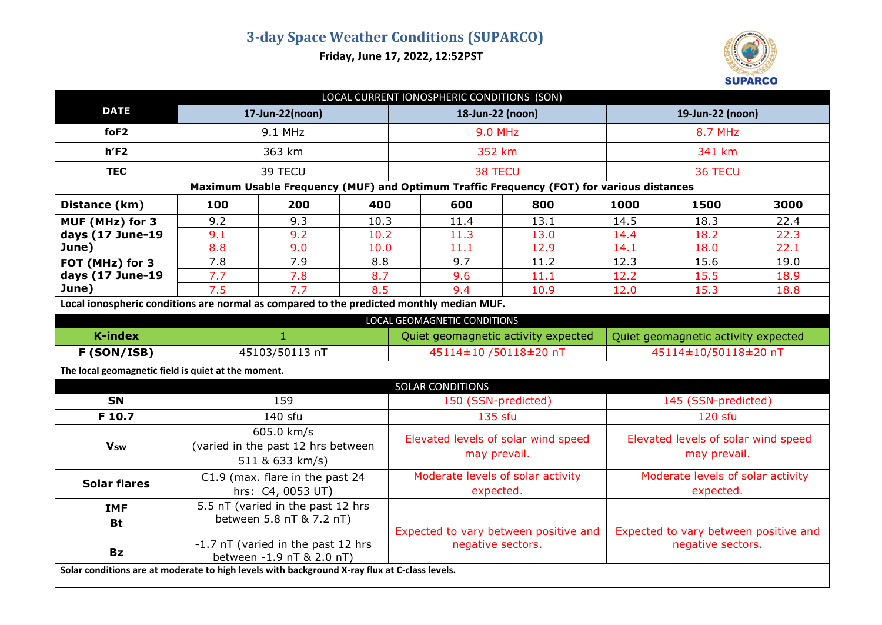**Friday, June 17, 2022, 12:52PST**



| LOCAL CURRENT IONOSPHERIC CONDITIONS (SON)                                                    |                                                                                             |     |      |                                                            |                              |      |      |                                                            |      |  |
|-----------------------------------------------------------------------------------------------|---------------------------------------------------------------------------------------------|-----|------|------------------------------------------------------------|------------------------------|------|------|------------------------------------------------------------|------|--|
| <b>DATE</b>                                                                                   | 17-Jun-22(noon)                                                                             |     |      | 18-Jun-22 (noon)                                           |                              |      |      | 19-Jun-22 (noon)                                           |      |  |
| foF <sub>2</sub>                                                                              | 9.1 MHz                                                                                     |     |      | <b>9.0 MHz</b>                                             |                              |      |      | 8.7 MHz                                                    |      |  |
| $h$ 'F2                                                                                       | 363 km                                                                                      |     |      | 352 km                                                     |                              |      |      | 341 km                                                     |      |  |
| <b>TEC</b>                                                                                    | 39 TECU                                                                                     |     |      | 38 TECU                                                    |                              |      |      | 36 TECU                                                    |      |  |
| Maximum Usable Frequency (MUF) and Optimum Traffic Frequency (FOT) for various distances      |                                                                                             |     |      |                                                            |                              |      |      |                                                            |      |  |
| Distance (km)                                                                                 | 100                                                                                         | 200 | 400  |                                                            | 600                          | 800  | 1000 | 1500                                                       | 3000 |  |
| MUF (MHz) for 3                                                                               | 9.2                                                                                         | 9.3 | 10.3 |                                                            | 11.4                         | 13.1 | 14.5 | 18.3                                                       | 22.4 |  |
| days (17 June-19                                                                              | 9.1                                                                                         | 9.2 | 10.2 |                                                            | 11.3                         | 13.0 | 14.4 | 18.2                                                       | 22.3 |  |
| June)                                                                                         | 8.8                                                                                         | 9.0 | 10.0 |                                                            | 11.1                         | 12.9 | 14.1 | 18.0                                                       | 22.1 |  |
| FOT (MHz) for 3                                                                               | 7.8                                                                                         | 7.9 | 8.8  |                                                            | 9.7                          | 11.2 | 12.3 | 15.6                                                       | 19.0 |  |
| days (17 June-19                                                                              | 7.7                                                                                         | 7.8 | 8.7  |                                                            | 9.6                          | 11.1 | 12.2 | 15.5                                                       | 18.9 |  |
| June)                                                                                         | 7.5<br>7.7                                                                                  |     | 8.5  |                                                            | 9.4                          | 10.9 | 12.0 | 15.3                                                       | 18.8 |  |
| Local ionospheric conditions are normal as compared to the predicted monthly median MUF.      |                                                                                             |     |      |                                                            |                              |      |      |                                                            |      |  |
|                                                                                               |                                                                                             |     |      |                                                            | LOCAL GEOMAGNETIC CONDITIONS |      |      |                                                            |      |  |
| <b>K-index</b>                                                                                | $\mathbf{1}$                                                                                |     |      | Quiet geomagnetic activity expected                        |                              |      |      | Quiet geomagnetic activity expected                        |      |  |
| F (SON/ISB)                                                                                   | 45103/50113 nT                                                                              |     |      | 45114±10 /50118±20 nT                                      |                              |      |      | 45114±10/50118±20 nT                                       |      |  |
| The local geomagnetic field is quiet at the moment.                                           |                                                                                             |     |      |                                                            |                              |      |      |                                                            |      |  |
| SOLAR CONDITIONS                                                                              |                                                                                             |     |      |                                                            |                              |      |      |                                                            |      |  |
| <b>SN</b>                                                                                     | 159                                                                                         |     |      | 150 (SSN-predicted)                                        |                              |      |      | 145 (SSN-predicted)                                        |      |  |
| F 10.7                                                                                        | 140 sfu                                                                                     |     |      | 135 sfu                                                    |                              |      |      | 120 sfu                                                    |      |  |
| <b>Vsw</b>                                                                                    | 605.0 km/s<br>(varied in the past 12 hrs between<br>511 & 633 km/s)                         |     |      | Elevated levels of solar wind speed<br>may prevail.        |                              |      |      | Elevated levels of solar wind speed<br>may prevail.        |      |  |
| <b>Solar flares</b>                                                                           | C1.9 (max. flare in the past 24<br>hrs: C4, 0053 UT)                                        |     |      | Moderate levels of solar activity<br>expected.             |                              |      |      | Moderate levels of solar activity<br>expected.             |      |  |
| <b>IMF</b>                                                                                    | 5.5 nT (varied in the past 12 hrs                                                           |     |      |                                                            |                              |      |      |                                                            |      |  |
| <b>Bt</b><br><b>Bz</b>                                                                        | between 5.8 nT & 7.2 nT)<br>-1.7 nT (varied in the past 12 hrs<br>between -1.9 nT & 2.0 nT) |     |      | Expected to vary between positive and<br>negative sectors. |                              |      |      | Expected to vary between positive and<br>negative sectors. |      |  |
| Solar conditions are at moderate to high levels with background X-ray flux at C-class levels. |                                                                                             |     |      |                                                            |                              |      |      |                                                            |      |  |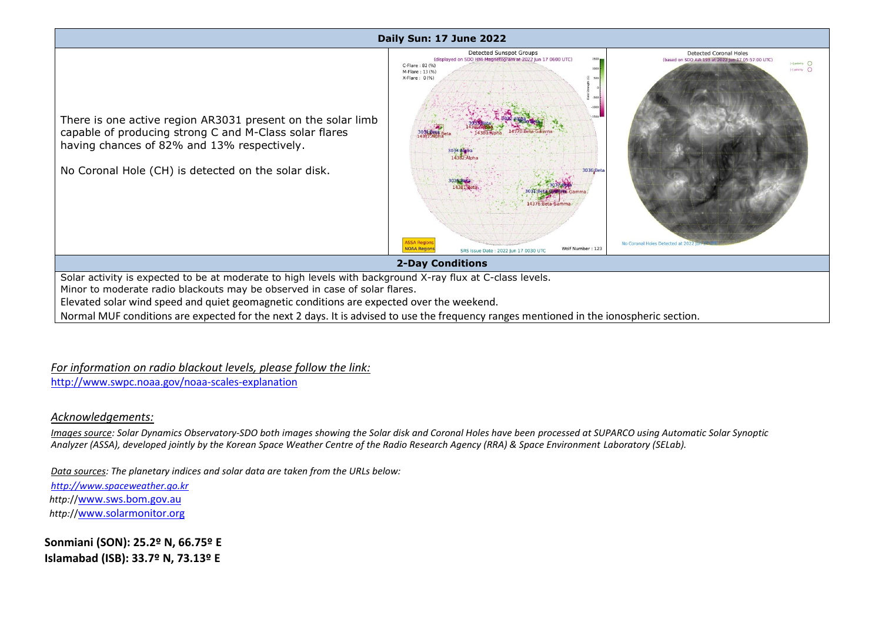## **Daily Sun: 17 June 2022**



*For information on radio blackout levels, please follow the link:*

http://www.swpc.noaa.gov/noaa-scales-explanation

## *Acknowledgements:*

*Images source: Solar Dynamics Observatory-SDO both images showing the Solar disk and Coronal Holes have been processed at SUPARCO using Automatic Solar Synoptic Analyzer (ASSA), developed jointly by the Korean Space Weather Centre of the Radio Research Agency (RRA) & Space Environment Laboratory (SELab).*

*Data sources: The planetary indices and solar data are taken from the URLs below:*

*[http://www.spaceweather.go.kr](http://www.spaceweather.go.kr/) http:*//[www.sws.bom.gov.au](http://www.sws.bom.gov.au/) *http:*//[www.solarmonitor.org](http://www.solarmonitor.org/)

**Sonmiani (SON): 25.2º N, 66.75º E Islamabad (ISB): 33.7º N, 73.13º E**